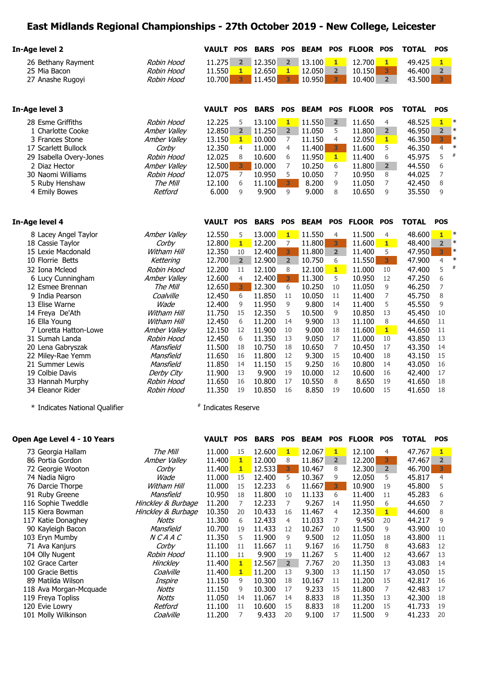## **East Midlands Regional Championships - 27th October 2019 - New College, Leicester**

| In-Age level 2                         |                                   | <b>VAULT</b>        | <b>POS</b>              | <b>BARS</b>      | <b>POS</b>              | <b>BEAM</b>     | <b>POS</b>     | <b>FLOOR POS</b> |                         | <b>TOTAL</b>     | <b>POS</b>              |                  |
|----------------------------------------|-----------------------------------|---------------------|-------------------------|------------------|-------------------------|-----------------|----------------|------------------|-------------------------|------------------|-------------------------|------------------|
| 26 Bethany Rayment                     | Robin Hood                        | 11.275              | $2^{\circ}$             | 12.350           | $2^{\circ}$             | 13.100          | $\mathbf{1}$   | 12.700           | 1                       | 49.425           | $\mathbf{1}$            |                  |
| 25 Mia Bacon                           | Robin Hood                        | 11.550              | 1                       | 12.650           | $\mathbf{1}$            | 12.050          | $\overline{2}$ | 10.150           | $\overline{\mathbf{3}}$ | 46.400           | $\overline{2}$          |                  |
| 27 Anashe Rugoyi                       | Robin Hood                        | 10.700              | $\overline{\mathbf{3}}$ | 11.450           | 3                       | 10.950          | 3 <sup>1</sup> | 10.400           | 2 <sup>1</sup>          | 43.500           | $3 -$                   |                  |
| In-Age level 3                         |                                   | <b>VAULT</b>        | <b>POS</b>              | <b>BARS</b>      | <b>POS</b>              | <b>BEAM</b>     | <b>POS</b>     | <b>FLOOR POS</b> |                         | <b>TOTAL</b>     | <b>POS</b>              |                  |
| 28 Esme Griffiths                      | Robin Hood                        | 12.225              | 5                       | 13.100           | 1                       | 11.550          | $\overline{2}$ | 11.650           | 4                       | 48.525           | $\mathbf{1}$            | $\ast$           |
| 1 Charlotte Cooke                      | Amber Valley                      | 12.850              | $\overline{\mathbf{2}}$ | 11.250           | $\overline{\mathbf{2}}$ | 11.050          | 5              | 11.800           | $2^{\circ}$             | 46.950           | $\overline{\mathbf{2}}$ | $\ast$           |
| 3 Frances Stone                        | Amber Valley                      | 13.150              | $\mathbf{1}$            | 10.000           | 7                       | 11.150          | 4              | 12.050           | $1 -$                   | 46.350           | 3                       | $\ast$           |
| 17 Scarlett Bullock                    | Corby                             | 12.350              | 4                       | 11.000           | 4                       | 11.400          | 3              | 11.600           | 5                       | 46.350           | $\overline{4}$          | $\ast$           |
| 29 Isabella Overy-Jones                | Robin Hood                        | 12.025              | 8                       | 10.600           | 6                       | 11.950          | $\mathbf{1}$   | 11.400           | 6                       | 45.975           | 5                       | #                |
| 2 Diaz Hector                          | Amber Valley                      | 12.500              | 3                       | 10.000           | 7                       | 10.250          | 6              | 11.800           | $2^{\circ}$             | 44.550           | 6                       |                  |
| 30 Naomi Williams                      | Robin Hood                        | 12.075              | $\overline{7}$          | 10.950           | 5                       | 10.050          | 7              | 10.950           | 8                       | 44.025           | $\overline{7}$          |                  |
| 5 Ruby Henshaw                         | The Mill                          | 12.100              | 6                       | 11.100           | 3 <sup>1</sup>          | 8.200           | 9              | 11.050           | 7                       | 42.450           | 8                       |                  |
| 4 Emily Bowes                          | Retford                           | 6.000               | 9                       | 9.900            | 9                       | 9.000           | 8              | 10.650           | 9                       | 35.550           | 9                       |                  |
| In-Age level 4                         |                                   | <b>VAULT</b>        | <b>POS</b>              | <b>BARS</b>      | <b>POS</b>              | <b>BEAM</b>     | <b>POS</b>     | <b>FLOOR POS</b> |                         | <b>TOTAL</b>     | <b>POS</b>              |                  |
|                                        |                                   |                     |                         |                  |                         |                 |                |                  |                         |                  |                         |                  |
| 8 Lacey Angel Taylor                   | Amber Valley                      | 12.550              | 5                       | 13.000           | $\mathbf{1}$            | 11.550          | $\overline{4}$ | 11.500           | $\overline{4}$          | 48.600           | $\mathbf{1}$            | $\ast$<br>$\ast$ |
| 18 Cassie Taylor                       | Corby                             | 12.800              | $\mathbf{1}$            | 12.200           | 7                       | 11.800          | 3              | 11.600           | $1 -$                   | 48.400           | $\overline{2}$          | $\ast$           |
| 15 Lexie Macdonald                     | Witham Hill                       | 12.350              | 10                      | 12.400           | 3                       | 11.800          | $\overline{2}$ | 11.400           | 5                       | 47.950           | 3                       | $\ast$           |
| 10 Florrie Betts                       | Kettering                         | 12.700              | $\overline{2}$          | 12.900           | $\overline{2}$          | 10.750          | 6              | 11.550           | 3 <sup>1</sup>          | 47.900           | $\overline{4}$          | $\#$             |
| 32 Iona Mcleod                         | Robin Hood                        | 12.200              | 11                      | 12.100           | 8                       | 12.100          | $\mathbf{1}$   | 11.000           | 10                      | 47.400           | 5                       |                  |
| 6 Lucy Cunningham                      | Amber Valley                      | 12.600              | $\overline{4}$          | 12.400           | $\overline{\mathbf{3}}$ | 11.300          | 5              | 10.950           | 12                      | 47.250           | 6                       |                  |
| 12 Esmee Brennan                       | The Mill                          | 12.650              | 3                       | 12.300           | 6                       | 10.250          | 10             | 11.050           | 9                       | 46.250           | 7                       |                  |
| 9 India Pearson                        | Coalville                         | 12.450              | 6                       | 11.850           | 11                      | 10.050          | 11             | 11.400           | 7                       | 45.750           | 8                       |                  |
| 13 Elise Warne                         | Wade                              | 12.400              | 9                       | 11.950           | 9                       | 9.800           | 14             | 11.400           | 5                       | 45.550           | 9                       |                  |
| 14 Freya De'Ath                        | Witham Hill<br><b>Witham Hill</b> | 11.750<br>12,450    | 15<br>6                 | 12.350<br>11.200 | 5<br>14                 | 10.500<br>9.900 | 9<br>13        | 10.850<br>11.100 | 13<br>8                 | 45.450<br>44.650 | 10<br>11                |                  |
| 16 Ella Young<br>7 Loretta Hatton-Lowe |                                   | 12.150              | 12                      | 11.900           | 10                      | 9.000           | 18             |                  | $1 -$                   | 44.650           | 11                      |                  |
| 31 Sumah Landa                         | Amber Valley<br>Robin Hood        | 12.450              | 6                       | 11.350           | 13                      | 9.050           | 17             | 11.600<br>11.000 | 10                      | 43.850           | 13                      |                  |
| 20 Lena Gabryszak                      | Mansfield                         | 11.500              | 18                      | 10.750           | 18                      | 10.650          | $\overline{7}$ | 10.450           | 17                      | 43.350           | 14                      |                  |
| 22 Miley-Rae Yemm                      | Mansfield                         | 11.650              | 16                      | 11,800           | 12                      | 9.300           | 15             | 10,400           | 18                      | 43.150           | 15                      |                  |
| 21 Summer Lewis                        | Mansfield                         | 11.850              | 14                      | 11.150           | 15                      | 9.250           | 16             | 10.800           | 14                      | 43.050           | 16                      |                  |
| 19 Colbie Davis                        | Derby City                        | 11,900              | 13                      | 9.900            | 19                      | 10.000          | 12             | 10.600           | 16                      | 42,400           | 17                      |                  |
| 33 Hannah Murphy                       | Robin Hood                        | 11.650              | 16                      | 10.800           | 17                      | 10.550          | 8              | 8.650            | 19                      | 41.650           | 18                      |                  |
| 34 Eleanor Rider                       | Robin Hood                        | 11.350              | 19                      | 10.850           | 16                      | 8.850           | 19             | 10.600           | 15                      | 41.650           | 18                      |                  |
| * Indicates National Qualifier         |                                   | # Indicates Reserve |                         |                  |                         |                 |                |                  |                         |                  |                         |                  |

| Open Age Level 4 - 10 Years |                    | <b>VAULT</b> | <b>POS</b>   | <b>BARS</b> | <b>POS</b>     | <b>BEAM</b> | <b>POS</b>     | <b>FLOOR</b> | <b>POS</b>     | <b>TOTAL</b> | <b>POS</b>     |
|-----------------------------|--------------------|--------------|--------------|-------------|----------------|-------------|----------------|--------------|----------------|--------------|----------------|
| 73 Georgia Hallam           | The Mill           | 11.000       | 15           | 12.600      | $\mathbf{1}$   | 12.067      | $\mathbf{1}$   | 12.100       | 4              | 47.767       | 1              |
| 86 Portia Gordon            | Amber Valley       | 11.400       | $\mathbf{1}$ | 12,000      | 8              | 11.867      | 2 <sup>1</sup> | 12.200       | 3              | 47.467       | $\overline{2}$ |
| 72 Georgie Wooton           | Corby              | 11.400       | $\mathbf{1}$ | 12.533      | 3              | 10.467      | 8              | 12,300       | 2 <sup>2</sup> | 46.700       | 3              |
| 74 Nadia Nigro              | Wade               | 11.000       | 15           | 12,400      | 5              | 10.367      | 9              | 12.050       | 5              | 45.817       | 4              |
| 76 Darcie Thorpe            | Witham Hill        | 11.000       | 15           | 12.233      | 6              | 11.667      | 3              | 10.900       | 19             | 45,800       | 5              |
| 91 Ruby Greene              | Mansfield          | 10.950       | 18           | 11,800      | 10             | 11.133      | 6              | 11.400       | 11             | 45.283       | 6              |
| 116 Sophie Tweddle          | Hinckley & Burbage | 11.200       | 7            | 12.233      | 7              | 9.267       | 14             | 11.950       | 6              | 44.650       |                |
| 115 Kiera Bowman            | Hinckley & Burbage | 10.350       | 20           | 10.433      | 16             | 11.467      | 4              | 12.350       | $\mathbf{1}$   | 44.600       | 8              |
| 117 Katie Donaghey          | Notts              | 11.300       | 6            | 12.433      | 4              | 11.033      | 7              | 9.450        | 20             | 44.217       | 9              |
| 90 Kayleigh Bacon           | Mansfield          | 10.700       | 19           | 11.433      | 12             | 10.267      | 10             | 11.500       | 9              | 43,900       | 10             |
| 103 Eryn Mumby              | <i>NCAAC</i>       | 11.350       | 5.           | 11.900      | 9              | 9.500       | 12             | 11.050       | 18             | 43.800       | 11             |
| 71 Ava Kanjurs              | Corby              | 11.100       | 11           | 11.667      | 11             | 9.167       | 16             | 11.750       | 8              | 43.683       | 12             |
| 104 Olly Nugent             | Robin Hood         | 11.100       | 11           | 9.900       | 19             | 11.267      | 5.             | 11.400       | 12             | 43.667       | 13             |
| 102 Grace Carter            | Hinckley           | 11.400       | $\mathbf{1}$ | 12.567      | $\overline{2}$ | 7.767       | 20             | 11.350       | 13             | 43.083       | 14             |
| 100 Gracie Bettis           | Coalville          | 11.400       | $\mathbf{1}$ | 11.200      | 13             | 9.300       | 13             | 11.150       | 17             | 43.050       | 15             |
| 89 Matilda Wilson           | Inspire            | 11.150       | 9            | 10.300      | 18             | 10.167      | 11             | 11.200       | 15             | 42.817       | 16             |
| 118 Ava Morgan-Mcguade      | Notts              | 11.150       | 9            | 10.300      | 17             | 9.233       | 15             | 11.800       | 7              | 42.483       | 17             |
| 119 Freya Topliss           | Notts              | 11.050       | 14           | 11.067      | 14             | 8.833       | 18             | 11.350       | 13             | 42.300       | 18             |
| 120 Evie Lowry              | Retford            | 11.100       | 11           | 10.600      | 15             | 8.833       | 18             | 11.200       | 15             | 41.733       | 19             |
| 101 Molly Wilkinson         | Coalville          | 11.200       |              | 9.433       | 20             | 9.100       | 17             | 11.500       | 9              | 41.233       | 20             |